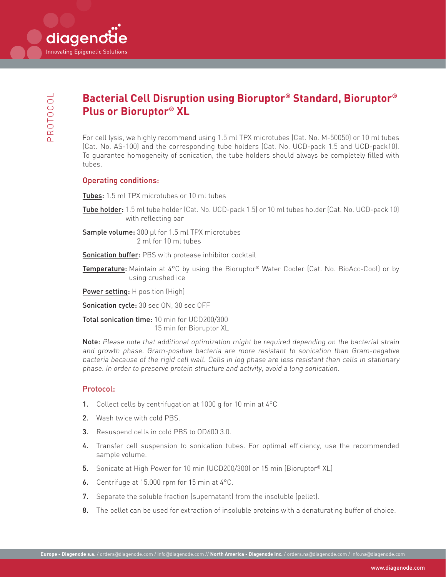diagenoi

**Innovating Epigenetic Solutions** 

# **Bacterial Cell Disruption using Bioruptor® Standard, Bioruptor® Plus or Bioruptor® XL**

For cell lysis, we highly recommend using 1.5 ml TPX microtubes (Cat. No. M-50050) or 10 ml tubes (Cat. No. AS-100) and the corresponding tube holders (Cat. No. UCD-pack 1.5 and UCD-pack10). To guarantee homogeneity of sonication, the tube holders should always be completely filled with tubes.

#### Operating conditions:

Tubes: 1.5 ml TPX microtubes or 10 ml tubes

- Tube holder: 1.5 ml tube holder (Cat. No. UCD-pack 1.5) or 10 ml tubes holder (Cat. No. UCD-pack 10) with reflecting bar
- Sample volume: 300 µl for 1.5 ml TPX microtubes 2 ml for 10 ml tubes

Sonication buffer: PBS with protease inhibitor cocktail

Temperature: Maintain at 4°C by using the Bioruptor® Water Cooler (Cat. No. BioAcc-Cool) or by using crushed ice

Power setting: H position (High)

Sonication cycle: 30 sec ON, 30 sec OFF

Total sonication time: 10 min for UCD200/300 15 min for Bioruptor XL

Note: Please note that additional optimization might be required depending on the bacterial strain and growth phase. Gram-positive bacteria are more resistant to sonication than Gram-negative bacteria because of the rigid cell wall. Cells in log phase are less resistant than cells in stationary phase. In order to preserve protein structure and activity, avoid a long sonication.

#### Protocol:

- 1. Collect cells by centrifugation at 1000 g for 10 min at 4°C
- 2. Wash twice with cold PBS.
- 3. Resuspend cells in cold PBS to OD600 3.0.
- 4. Transfer cell suspension to sonication tubes. For optimal efficiency, use the recommended sample volume.
- 5. Sonicate at High Power for 10 min (UCD200/300) or 15 min (Bioruptor® XL)
- 6. Centrifuge at 15.000 rpm for 15 min at 4°C.
- 7. Separate the soluble fraction (supernatant) from the insoluble (pellet).
- 8. The pellet can be used for extraction of insoluble proteins with a denaturating buffer of choice.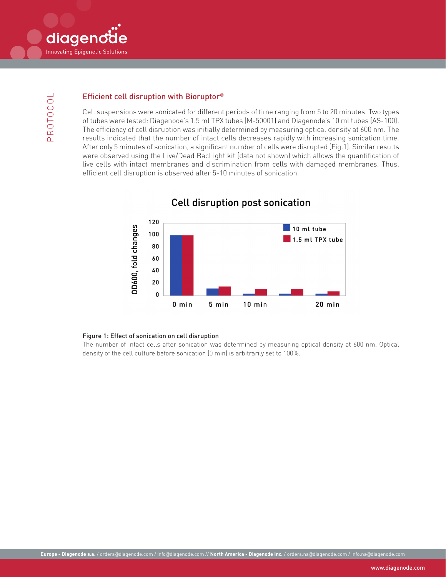

### Efficient cell disruption with Bioruptor®

Cell suspensions were sonicated for different periods of time ranging from 5 to 20 minutes. Two types of tubes were tested: Diagenode's 1.5 ml TPX tubes (M-50001) and Diagenode's 10 ml tubes (AS-100). The efficiency of cell disruption was initially determined by measuring optical density at 600 nm. The results indicated that the number of intact cells decreases rapidly with increasing sonication time. After only 5 minutes of sonication, a significant number of cells were disrupted (Fig.1). Similar results were observed using the Live/Dead BacLight kit (data not shown) which allows the quantification of live cells with intact membranes and discrimination from cells with damaged membranes. Thus, efficient cell disruption is observed after 5-10 minutes of sonication.



# **Cell disruption post sonication**

#### Figure 1: Effect of sonication on cell disruption

The number of intact cells after sonication was determined by measuring optical density at 600 nm. Optical density of the cell culture before sonication (0 min) is arbitrarily set to 100%.